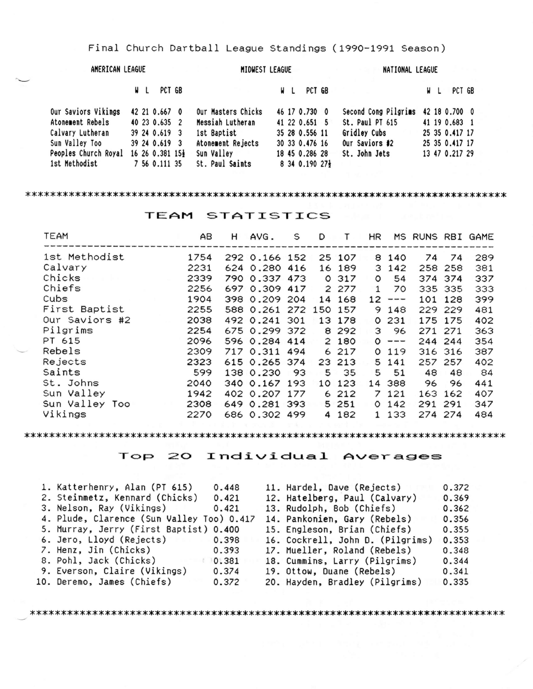Final Church Dartball League Standings (1990-1991 Season)

| AMERICAN LEAGUE                      |  |               | MIDWEST LEAGUE     |  |                | NATIONAL LEAGUE                    |     |                |  |
|--------------------------------------|--|---------------|--------------------|--|----------------|------------------------------------|-----|----------------|--|
|                                      |  | W L PCT GB    |                    |  | W L PCT GB     |                                    | W L | PCT GB         |  |
| Our Saviors Vikings                  |  | 42 21 0.667 0 | Our Masters Chicks |  | 46 17 0.730 0  | Second Cong Pilgrims 42 18 0.700 0 |     |                |  |
| Atonement Rebels                     |  | 40 23 0.635 2 | Messiah Lutheran   |  | 41 22 0.651 5  | St. Paul PT 615                    |     | 41 19 0.683 1  |  |
| Calvary Lutheran                     |  | 39 24 0.619 3 | 1st Baptist        |  | 35 28 0.556 11 | Gridley Cubs                       |     | 25 35 0.417 17 |  |
| Sun Valley Too                       |  | 39 24 0.619 3 | Atonement Rejects  |  | 30 33 0.476 16 | Our Saviors #2                     |     | 25 35 0.417 17 |  |
| Peoples Church Royal 16 26 0.381 15} |  |               | Sun Valley         |  | 18 45 0.286 28 | St. John Jets                      |     | 13 47 0.217 29 |  |
| 1st Methodist                        |  | 7 56 0.111 35 | St. Paul Saints    |  | 8 34 0.190 27} |                                    |     |                |  |

## 

TEAM STATISTICS

| <b>TEAM</b>    | AB   | н | AVG.                  | S    | D  |         | HR      |                                                   | MS RUNS RBI GAME |         |     |
|----------------|------|---|-----------------------|------|----|---------|---------|---------------------------------------------------|------------------|---------|-----|
| 1st Methodist  | 1754 |   | 292 0.166 152         |      |    | 25 107  |         | 8 140                                             | 74               | 74      | 289 |
| Calvary        | 2231 |   | 624 0.280 416         |      |    | 16 189  | 3       | 142                                               |                  | 258 258 | 381 |
| Chicks         | 2339 |   | 790 0.337 473         |      |    | 0 317   | O       | 54                                                |                  | 374 374 | 337 |
| Chiefs         | 2256 |   | 697 0.309 417         |      |    | 2 277   | 1       | 70                                                |                  | 335 335 | 333 |
| Cubs           | 1904 |   | 398 0.209 204         |      | 14 | 168     | 12      | $\,$ www. www.                                    |                  | 101 128 | 399 |
| First Baptist  | 2255 |   | 588 0.261 272 150 157 |      |    |         | 9       | 148                                               |                  | 229 229 | 481 |
| Our Saviors #2 | 2038 |   | 492 0.241 301         |      |    | 13 178  | $\circ$ | 231                                               |                  | 175 175 | 402 |
| Pilgrims       | 2254 |   | 675 0.299 372         |      |    | 8 2 9 2 | 3       | 96                                                |                  | 271 271 | 363 |
| PT 615         | 2096 |   | 596 0.284 414         |      |    | 2 180   | $\circ$ | $\frac{1}{2}$ and $\frac{1}{2}$ and $\frac{1}{2}$ |                  | 244 244 | 354 |
| Rebels         | 2309 |   | 717 0.311 494         |      |    | 6 217   | $\circ$ | 119                                               |                  | 316 316 | 387 |
| Rejects        | 2323 |   | 615 0.265 374         |      |    | 23 213  |         | 5 141                                             |                  | 257 257 | 402 |
| Saints         | 599  |   | 138 0.230             | - 93 | 5  | 35      | 5       | 51                                                | 48               | 48      | 84  |
| St. Johns      | 2040 |   | 340 0.167 193         |      | 10 | 123     |         | 14 388                                            | 96               | 96      | 441 |
| Sun Valley     | 1942 |   | 402 0.207 177         |      |    | 6 212   |         | 7 121                                             |                  | 163 162 | 407 |
| Sun Valley Too | 2308 |   | 649 0.281 393         |      |    | 5 251   | $\circ$ | 142                                               |                  | 291 291 | 347 |
| Vikings        | 2270 |   | 686 0.302 499         |      | 4  | 182     | 1       | 133                                               |                  | 274 274 | 484 |
|                |      |   |                       |      |    |         |         |                                                   |                  |         |     |

## Top 20 Individual Averages

| 1. Katterhenry, Alan (PT 615)             | 0.448 | 11. Hardel, Dave (Rejects)       | 0.372 |
|-------------------------------------------|-------|----------------------------------|-------|
| 2. Steinmetz, Kennard (Chicks)            | 0.421 | 12. Hatelberg, Paul (Calvary)    | 0.369 |
| 3. Nelson, Ray (Vikings)                  | 0.421 | 13. Rudolph, Bob (Chiefs)        | 0.362 |
| 4. Plude, Clarence (Sun Valley Too) 0.417 |       | 14. Pankonien, Gary (Rebels)     | 0.356 |
| 5. Murray, Jerry (First Baptist) 0.400    |       | 15. Engleson, Brian (Chiefs)     | 0.355 |
| 6. Jero, Lloyd (Rejects) 0.398            |       | 16. Cockrell, John D. (Pilgrims) | 0.353 |
| 7. Henz, Jin (Chicks)                     | 0.393 | 17. Mueller, Roland (Rebels)     | 0.348 |
| 8. Pohl, Jack (Chicks)                    | 0.381 | 18. Cummins, Larry (Pilgrims)    | 0.344 |
| 9. Everson, Claire (Vikings)              | 0.374 | 19. Ottow, Duane (Rebels)        | 0.341 |
| 10. Deremo, James (Chiefs)                | 0.372 | 20. Hayden, Bradley (Pilgrims)   | 0.335 |